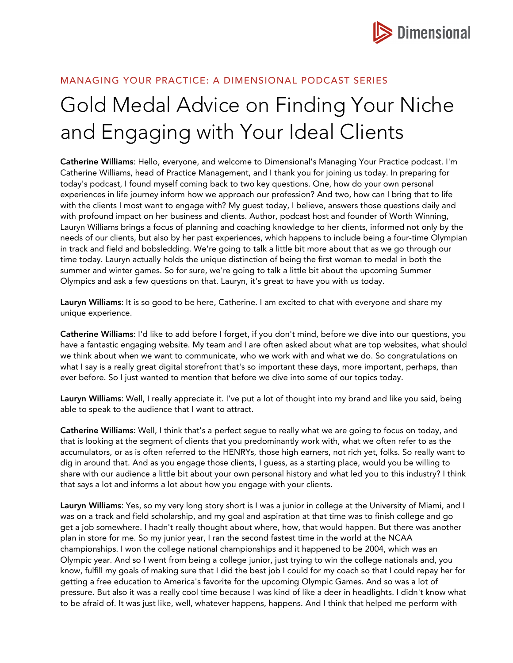

## MANAGING YOUR PRACTICE: A DIMENSIONAL PODCAST SERIES

## Gold Medal Advice on Finding Your Niche and Engaging with Your Ideal Clients

Catherine Williams: Hello, everyone, and welcome to Dimensional's Managing Your Practice podcast. I'm Catherine Williams, head of Practice Management, and I thank you for joining us today. In preparing for today's podcast, I found myself coming back to two key questions. One, how do your own personal experiences in life journey inform how we approach our profession? And two, how can I bring that to life with the clients I most want to engage with? My guest today, I believe, answers those questions daily and with profound impact on her business and clients. Author, podcast host and founder of Worth Winning, Lauryn Williams brings a focus of planning and coaching knowledge to her clients, informed not only by the needs of our clients, but also by her past experiences, which happens to include being a four-time Olympian in track and field and bobsledding. We're going to talk a little bit more about that as we go through our time today. Lauryn actually holds the unique distinction of being the first woman to medal in both the summer and winter games. So for sure, we're going to talk a little bit about the upcoming Summer Olympics and ask a few questions on that. Lauryn, it's great to have you with us today.

Lauryn Williams: It is so good to be here, Catherine. I am excited to chat with everyone and share my unique experience.

Catherine Williams: I'd like to add before I forget, if you don't mind, before we dive into our questions, you have a fantastic engaging website. My team and I are often asked about what are top websites, what should we think about when we want to communicate, who we work with and what we do. So congratulations on what I say is a really great digital storefront that's so important these days, more important, perhaps, than ever before. So I just wanted to mention that before we dive into some of our topics today.

Lauryn Williams: Well, I really appreciate it. I've put a lot of thought into my brand and like you said, being able to speak to the audience that I want to attract.

Catherine Williams: Well, I think that's a perfect segue to really what we are going to focus on today, and that is looking at the segment of clients that you predominantly work with, what we often refer to as the accumulators, or as is often referred to the HENRYs, those high earners, not rich yet, folks. So really want to dig in around that. And as you engage those clients, I guess, as a starting place, would you be willing to share with our audience a little bit about your own personal history and what led you to this industry? I think that says a lot and informs a lot about how you engage with your clients.

Lauryn Williams: Yes, so my very long story short is I was a junior in college at the University of Miami, and I was on a track and field scholarship, and my goal and aspiration at that time was to finish college and go get a job somewhere. I hadn't really thought about where, how, that would happen. But there was another plan in store for me. So my junior year, I ran the second fastest time in the world at the NCAA championships. I won the college national championships and it happened to be 2004, which was an Olympic year. And so I went from being a college junior, just trying to win the college nationals and, you know, fulfill my goals of making sure that I did the best job I could for my coach so that I could repay her for getting a free education to America's favorite for the upcoming Olympic Games. And so was a lot of pressure. But also it was a really cool time because I was kind of like a deer in headlights. I didn't know what to be afraid of. It was just like, well, whatever happens, happens. And I think that helped me perform with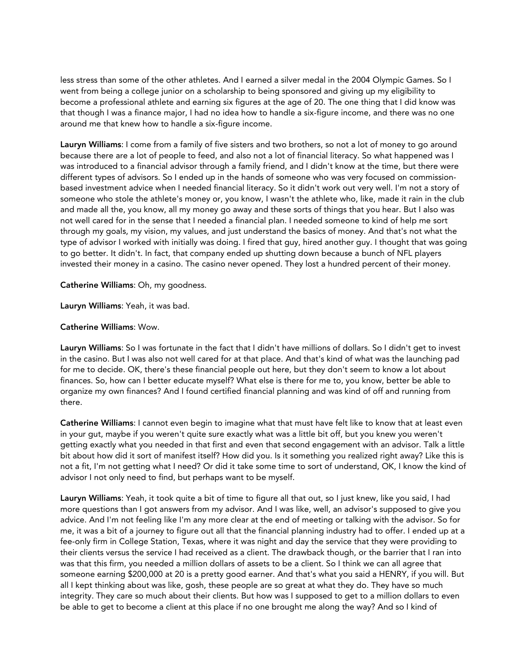less stress than some of the other athletes. And I earned a silver medal in the 2004 Olympic Games. So I went from being a college junior on a scholarship to being sponsored and giving up my eligibility to become a professional athlete and earning six figures at the age of 20. The one thing that I did know was that though I was a finance major, I had no idea how to handle a six-figure income, and there was no one around me that knew how to handle a six-figure income.

Lauryn Williams: I come from a family of five sisters and two brothers, so not a lot of money to go around because there are a lot of people to feed, and also not a lot of financial literacy. So what happened was I was introduced to a financial advisor through a family friend, and I didn't know at the time, but there were different types of advisors. So I ended up in the hands of someone who was very focused on commissionbased investment advice when I needed financial literacy. So it didn't work out very well. I'm not a story of someone who stole the athlete's money or, you know, I wasn't the athlete who, like, made it rain in the club and made all the, you know, all my money go away and these sorts of things that you hear. But I also was not well cared for in the sense that I needed a financial plan. I needed someone to kind of help me sort through my goals, my vision, my values, and just understand the basics of money. And that's not what the type of advisor I worked with initially was doing. I fired that guy, hired another guy. I thought that was going to go better. It didn't. In fact, that company ended up shutting down because a bunch of NFL players invested their money in a casino. The casino never opened. They lost a hundred percent of their money.

Catherine Williams: Oh, my goodness.

Lauryn Williams: Yeah, it was bad.

## Catherine Williams: Wow.

Lauryn Williams: So I was fortunate in the fact that I didn't have millions of dollars. So I didn't get to invest in the casino. But I was also not well cared for at that place. And that's kind of what was the launching pad for me to decide. OK, there's these financial people out here, but they don't seem to know a lot about finances. So, how can I better educate myself? What else is there for me to, you know, better be able to organize my own finances? And I found certified financial planning and was kind of off and running from there.

Catherine Williams: I cannot even begin to imagine what that must have felt like to know that at least even in your gut, maybe if you weren't quite sure exactly what was a little bit off, but you knew you weren't getting exactly what you needed in that first and even that second engagement with an advisor. Talk a little bit about how did it sort of manifest itself? How did you. Is it something you realized right away? Like this is not a fit, I'm not getting what I need? Or did it take some time to sort of understand, OK, I know the kind of advisor I not only need to find, but perhaps want to be myself.

Lauryn Williams: Yeah, it took quite a bit of time to figure all that out, so I just knew, like you said, I had more questions than I got answers from my advisor. And I was like, well, an advisor's supposed to give you advice. And I'm not feeling like I'm any more clear at the end of meeting or talking with the advisor. So for me, it was a bit of a journey to figure out all that the financial planning industry had to offer. I ended up at a fee-only firm in College Station, Texas, where it was night and day the service that they were providing to their clients versus the service I had received as a client. The drawback though, or the barrier that I ran into was that this firm, you needed a million dollars of assets to be a client. So I think we can all agree that someone earning \$200,000 at 20 is a pretty good earner. And that's what you said a HENRY, if you will. But all I kept thinking about was like, gosh, these people are so great at what they do. They have so much integrity. They care so much about their clients. But how was I supposed to get to a million dollars to even be able to get to become a client at this place if no one brought me along the way? And so I kind of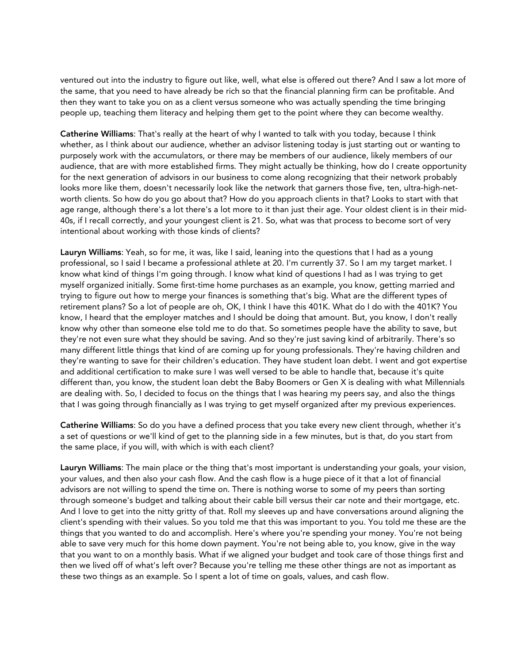ventured out into the industry to figure out like, well, what else is offered out there? And I saw a lot more of the same, that you need to have already be rich so that the financial planning firm can be profitable. And then they want to take you on as a client versus someone who was actually spending the time bringing people up, teaching them literacy and helping them get to the point where they can become wealthy.

Catherine Williams: That's really at the heart of why I wanted to talk with you today, because I think whether, as I think about our audience, whether an advisor listening today is just starting out or wanting to purposely work with the accumulators, or there may be members of our audience, likely members of our audience, that are with more established firms. They might actually be thinking, how do I create opportunity for the next generation of advisors in our business to come along recognizing that their network probably looks more like them, doesn't necessarily look like the network that garners those five, ten, ultra-high-networth clients. So how do you go about that? How do you approach clients in that? Looks to start with that age range, although there's a lot there's a lot more to it than just their age. Your oldest client is in their mid-40s, if I recall correctly, and your youngest client is 21. So, what was that process to become sort of very intentional about working with those kinds of clients?

Lauryn Williams: Yeah, so for me, it was, like I said, leaning into the questions that I had as a young professional, so I said I became a professional athlete at 20. I'm currently 37. So I am my target market. I know what kind of things I'm going through. I know what kind of questions I had as I was trying to get myself organized initially. Some first-time home purchases as an example, you know, getting married and trying to figure out how to merge your finances is something that's big. What are the different types of retirement plans? So a lot of people are oh, OK, I think I have this 401K. What do I do with the 401K? You know, I heard that the employer matches and I should be doing that amount. But, you know, I don't really know why other than someone else told me to do that. So sometimes people have the ability to save, but they're not even sure what they should be saving. And so they're just saving kind of arbitrarily. There's so many different little things that kind of are coming up for young professionals. They're having children and they're wanting to save for their children's education. They have student loan debt. I went and got expertise and additional certification to make sure I was well versed to be able to handle that, because it's quite different than, you know, the student loan debt the Baby Boomers or Gen X is dealing with what Millennials are dealing with. So, I decided to focus on the things that I was hearing my peers say, and also the things that I was going through financially as I was trying to get myself organized after my previous experiences.

Catherine Williams: So do you have a defined process that you take every new client through, whether it's a set of questions or we'll kind of get to the planning side in a few minutes, but is that, do you start from the same place, if you will, with which is with each client?

Lauryn Williams: The main place or the thing that's most important is understanding your goals, your vision, your values, and then also your cash flow. And the cash flow is a huge piece of it that a lot of financial advisors are not willing to spend the time on. There is nothing worse to some of my peers than sorting through someone's budget and talking about their cable bill versus their car note and their mortgage, etc. And I love to get into the nitty gritty of that. Roll my sleeves up and have conversations around aligning the client's spending with their values. So you told me that this was important to you. You told me these are the things that you wanted to do and accomplish. Here's where you're spending your money. You're not being able to save very much for this home down payment. You're not being able to, you know, give in the way that you want to on a monthly basis. What if we aligned your budget and took care of those things first and then we lived off of what's left over? Because you're telling me these other things are not as important as these two things as an example. So I spent a lot of time on goals, values, and cash flow.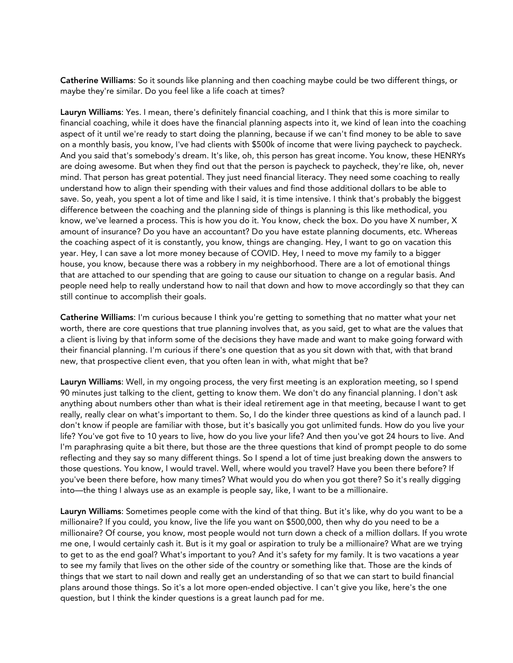Catherine Williams: So it sounds like planning and then coaching maybe could be two different things, or maybe they're similar. Do you feel like a life coach at times?

Lauryn Williams: Yes. I mean, there's definitely financial coaching, and I think that this is more similar to financial coaching, while it does have the financial planning aspects into it, we kind of lean into the coaching aspect of it until we're ready to start doing the planning, because if we can't find money to be able to save on a monthly basis, you know, I've had clients with \$500k of income that were living paycheck to paycheck. And you said that's somebody's dream. It's like, oh, this person has great income. You know, these HENRYs are doing awesome. But when they find out that the person is paycheck to paycheck, they're like, oh, never mind. That person has great potential. They just need financial literacy. They need some coaching to really understand how to align their spending with their values and find those additional dollars to be able to save. So, yeah, you spent a lot of time and like I said, it is time intensive. I think that's probably the biggest difference between the coaching and the planning side of things is planning is this like methodical, you know, we've learned a process. This is how you do it. You know, check the box. Do you have X number, X amount of insurance? Do you have an accountant? Do you have estate planning documents, etc. Whereas the coaching aspect of it is constantly, you know, things are changing. Hey, I want to go on vacation this year. Hey, I can save a lot more money because of COVID. Hey, I need to move my family to a bigger house, you know, because there was a robbery in my neighborhood. There are a lot of emotional things that are attached to our spending that are going to cause our situation to change on a regular basis. And people need help to really understand how to nail that down and how to move accordingly so that they can still continue to accomplish their goals.

Catherine Williams: I'm curious because I think you're getting to something that no matter what your net worth, there are core questions that true planning involves that, as you said, get to what are the values that a client is living by that inform some of the decisions they have made and want to make going forward with their financial planning. I'm curious if there's one question that as you sit down with that, with that brand new, that prospective client even, that you often lean in with, what might that be?

Lauryn Williams: Well, in my ongoing process, the very first meeting is an exploration meeting, so I spend 90 minutes just talking to the client, getting to know them. We don't do any financial planning. I don't ask anything about numbers other than what is their ideal retirement age in that meeting, because I want to get really, really clear on what's important to them. So, I do the kinder three questions as kind of a launch pad. I don't know if people are familiar with those, but it's basically you got unlimited funds. How do you live your life? You've got five to 10 years to live, how do you live your life? And then you've got 24 hours to live. And I'm paraphrasing quite a bit there, but those are the three questions that kind of prompt people to do some reflecting and they say so many different things. So I spend a lot of time just breaking down the answers to those questions. You know, I would travel. Well, where would you travel? Have you been there before? If you've been there before, how many times? What would you do when you got there? So it's really digging into—the thing I always use as an example is people say, like, I want to be a millionaire.

Lauryn Williams: Sometimes people come with the kind of that thing. But it's like, why do you want to be a millionaire? If you could, you know, live the life you want on \$500,000, then why do you need to be a millionaire? Of course, you know, most people would not turn down a check of a million dollars. If you wrote me one, I would certainly cash it. But is it my goal or aspiration to truly be a millionaire? What are we trying to get to as the end goal? What's important to you? And it's safety for my family. It is two vacations a year to see my family that lives on the other side of the country or something like that. Those are the kinds of things that we start to nail down and really get an understanding of so that we can start to build financial plans around those things. So it's a lot more open-ended objective. I can't give you like, here's the one question, but I think the kinder questions is a great launch pad for me.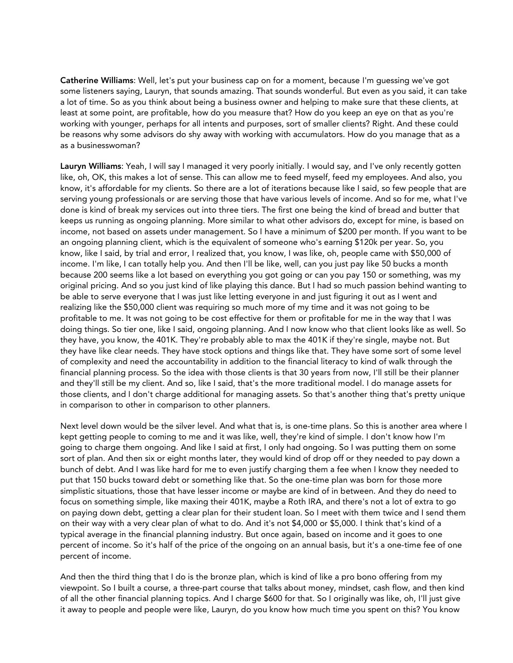Catherine Williams: Well, let's put your business cap on for a moment, because I'm guessing we've got some listeners saying, Lauryn, that sounds amazing. That sounds wonderful. But even as you said, it can take a lot of time. So as you think about being a business owner and helping to make sure that these clients, at least at some point, are profitable, how do you measure that? How do you keep an eye on that as you're working with younger, perhaps for all intents and purposes, sort of smaller clients? Right. And these could be reasons why some advisors do shy away with working with accumulators. How do you manage that as a as a businesswoman?

Lauryn Williams: Yeah, I will say I managed it very poorly initially. I would say, and I've only recently gotten like, oh, OK, this makes a lot of sense. This can allow me to feed myself, feed my employees. And also, you know, it's affordable for my clients. So there are a lot of iterations because like I said, so few people that are serving young professionals or are serving those that have various levels of income. And so for me, what I've done is kind of break my services out into three tiers. The first one being the kind of bread and butter that keeps us running as ongoing planning. More similar to what other advisors do, except for mine, is based on income, not based on assets under management. So I have a minimum of \$200 per month. If you want to be an ongoing planning client, which is the equivalent of someone who's earning \$120k per year. So, you know, like I said, by trial and error, I realized that, you know, I was like, oh, people came with \$50,000 of income. I'm like, I can totally help you. And then I'll be like, well, can you just pay like 50 bucks a month because 200 seems like a lot based on everything you got going or can you pay 150 or something, was my original pricing. And so you just kind of like playing this dance. But I had so much passion behind wanting to be able to serve everyone that I was just like letting everyone in and just figuring it out as I went and realizing like the \$50,000 client was requiring so much more of my time and it was not going to be profitable to me. It was not going to be cost effective for them or profitable for me in the way that I was doing things. So tier one, like I said, ongoing planning. And I now know who that client looks like as well. So they have, you know, the 401K. They're probably able to max the 401K if they're single, maybe not. But they have like clear needs. They have stock options and things like that. They have some sort of some level of complexity and need the accountability in addition to the financial literacy to kind of walk through the financial planning process. So the idea with those clients is that 30 years from now, I'll still be their planner and they'll still be my client. And so, like I said, that's the more traditional model. I do manage assets for those clients, and I don't charge additional for managing assets. So that's another thing that's pretty unique in comparison to other in comparison to other planners.

Next level down would be the silver level. And what that is, is one-time plans. So this is another area where I kept getting people to coming to me and it was like, well, they're kind of simple. I don't know how I'm going to charge them ongoing. And like I said at first, I only had ongoing. So I was putting them on some sort of plan. And then six or eight months later, they would kind of drop off or they needed to pay down a bunch of debt. And I was like hard for me to even justify charging them a fee when I know they needed to put that 150 bucks toward debt or something like that. So the one-time plan was born for those more simplistic situations, those that have lesser income or maybe are kind of in between. And they do need to focus on something simple, like maxing their 401K, maybe a Roth IRA, and there's not a lot of extra to go on paying down debt, getting a clear plan for their student loan. So I meet with them twice and I send them on their way with a very clear plan of what to do. And it's not \$4,000 or \$5,000. I think that's kind of a typical average in the financial planning industry. But once again, based on income and it goes to one percent of income. So it's half of the price of the ongoing on an annual basis, but it's a one-time fee of one percent of income.

And then the third thing that I do is the bronze plan, which is kind of like a pro bono offering from my viewpoint. So I built a course, a three-part course that talks about money, mindset, cash flow, and then kind of all the other financial planning topics. And I charge \$600 for that. So I originally was like, oh, I'll just give it away to people and people were like, Lauryn, do you know how much time you spent on this? You know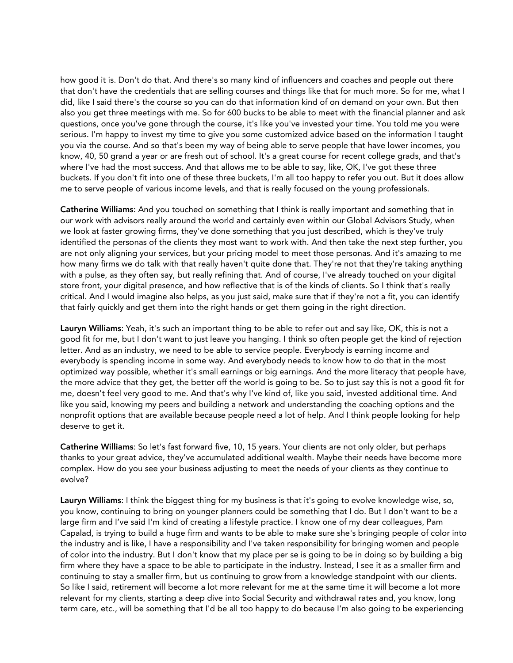how good it is. Don't do that. And there's so many kind of influencers and coaches and people out there that don't have the credentials that are selling courses and things like that for much more. So for me, what I did, like I said there's the course so you can do that information kind of on demand on your own. But then also you get three meetings with me. So for 600 bucks to be able to meet with the financial planner and ask questions, once you've gone through the course, it's like you've invested your time. You told me you were serious. I'm happy to invest my time to give you some customized advice based on the information I taught you via the course. And so that's been my way of being able to serve people that have lower incomes, you know, 40, 50 grand a year or are fresh out of school. It's a great course for recent college grads, and that's where I've had the most success. And that allows me to be able to say, like, OK, I've got these three buckets. If you don't fit into one of these three buckets, I'm all too happy to refer you out. But it does allow me to serve people of various income levels, and that is really focused on the young professionals.

Catherine Williams: And you touched on something that I think is really important and something that in our work with advisors really around the world and certainly even within our Global Advisors Study, when we look at faster growing firms, they've done something that you just described, which is they've truly identified the personas of the clients they most want to work with. And then take the next step further, you are not only aligning your services, but your pricing model to meet those personas. And it's amazing to me how many firms we do talk with that really haven't quite done that. They're not that they're taking anything with a pulse, as they often say, but really refining that. And of course, I've already touched on your digital store front, your digital presence, and how reflective that is of the kinds of clients. So I think that's really critical. And I would imagine also helps, as you just said, make sure that if they're not a fit, you can identify that fairly quickly and get them into the right hands or get them going in the right direction.

Lauryn Williams: Yeah, it's such an important thing to be able to refer out and say like, OK, this is not a good fit for me, but I don't want to just leave you hanging. I think so often people get the kind of rejection letter. And as an industry, we need to be able to service people. Everybody is earning income and everybody is spending income in some way. And everybody needs to know how to do that in the most optimized way possible, whether it's small earnings or big earnings. And the more literacy that people have, the more advice that they get, the better off the world is going to be. So to just say this is not a good fit for me, doesn't feel very good to me. And that's why I've kind of, like you said, invested additional time. And like you said, knowing my peers and building a network and understanding the coaching options and the nonprofit options that are available because people need a lot of help. And I think people looking for help deserve to get it.

Catherine Williams: So let's fast forward five, 10, 15 years. Your clients are not only older, but perhaps thanks to your great advice, they've accumulated additional wealth. Maybe their needs have become more complex. How do you see your business adjusting to meet the needs of your clients as they continue to evolve?

Lauryn Williams: I think the biggest thing for my business is that it's going to evolve knowledge wise, so, you know, continuing to bring on younger planners could be something that I do. But I don't want to be a large firm and I've said I'm kind of creating a lifestyle practice. I know one of my dear colleagues, Pam Capalad, is trying to build a huge firm and wants to be able to make sure she's bringing people of color into the industry and is like, I have a responsibility and I've taken responsibility for bringing women and people of color into the industry. But I don't know that my place per se is going to be in doing so by building a big firm where they have a space to be able to participate in the industry. Instead, I see it as a smaller firm and continuing to stay a smaller firm, but us continuing to grow from a knowledge standpoint with our clients. So like I said, retirement will become a lot more relevant for me at the same time it will become a lot more relevant for my clients, starting a deep dive into Social Security and withdrawal rates and, you know, long term care, etc., will be something that I'd be all too happy to do because I'm also going to be experiencing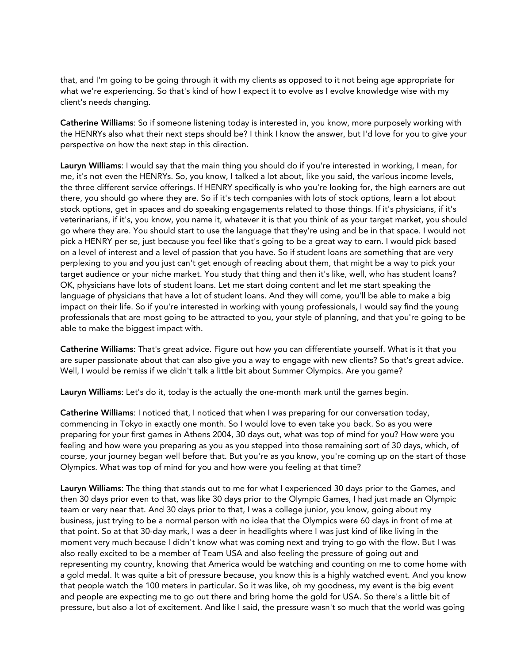that, and I'm going to be going through it with my clients as opposed to it not being age appropriate for what we're experiencing. So that's kind of how I expect it to evolve as I evolve knowledge wise with my client's needs changing.

Catherine Williams: So if someone listening today is interested in, you know, more purposely working with the HENRYs also what their next steps should be? I think I know the answer, but I'd love for you to give your perspective on how the next step in this direction.

Lauryn Williams: I would say that the main thing you should do if you're interested in working, I mean, for me, it's not even the HENRYs. So, you know, I talked a lot about, like you said, the various income levels, the three different service offerings. If HENRY specifically is who you're looking for, the high earners are out there, you should go where they are. So if it's tech companies with lots of stock options, learn a lot about stock options, get in spaces and do speaking engagements related to those things. If it's physicians, if it's veterinarians, if it's, you know, you name it, whatever it is that you think of as your target market, you should go where they are. You should start to use the language that they're using and be in that space. I would not pick a HENRY per se, just because you feel like that's going to be a great way to earn. I would pick based on a level of interest and a level of passion that you have. So if student loans are something that are very perplexing to you and you just can't get enough of reading about them, that might be a way to pick your target audience or your niche market. You study that thing and then it's like, well, who has student loans? OK, physicians have lots of student loans. Let me start doing content and let me start speaking the language of physicians that have a lot of student loans. And they will come, you'll be able to make a big impact on their life. So if you're interested in working with young professionals, I would say find the young professionals that are most going to be attracted to you, your style of planning, and that you're going to be able to make the biggest impact with.

Catherine Williams: That's great advice. Figure out how you can differentiate yourself. What is it that you are super passionate about that can also give you a way to engage with new clients? So that's great advice. Well, I would be remiss if we didn't talk a little bit about Summer Olympics. Are you game?

Lauryn Williams: Let's do it, today is the actually the one-month mark until the games begin.

Catherine Williams: I noticed that, I noticed that when I was preparing for our conversation today, commencing in Tokyo in exactly one month. So I would love to even take you back. So as you were preparing for your first games in Athens 2004, 30 days out, what was top of mind for you? How were you feeling and how were you preparing as you as you stepped into those remaining sort of 30 days, which, of course, your journey began well before that. But you're as you know, you're coming up on the start of those Olympics. What was top of mind for you and how were you feeling at that time?

Lauryn Williams: The thing that stands out to me for what I experienced 30 days prior to the Games, and then 30 days prior even to that, was like 30 days prior to the Olympic Games, I had just made an Olympic team or very near that. And 30 days prior to that, I was a college junior, you know, going about my business, just trying to be a normal person with no idea that the Olympics were 60 days in front of me at that point. So at that 30-day mark, I was a deer in headlights where I was just kind of like living in the moment very much because I didn't know what was coming next and trying to go with the flow. But I was also really excited to be a member of Team USA and also feeling the pressure of going out and representing my country, knowing that America would be watching and counting on me to come home with a gold medal. It was quite a bit of pressure because, you know this is a highly watched event. And you know that people watch the 100 meters in particular. So it was like, oh my goodness, my event is the big event and people are expecting me to go out there and bring home the gold for USA. So there's a little bit of pressure, but also a lot of excitement. And like I said, the pressure wasn't so much that the world was going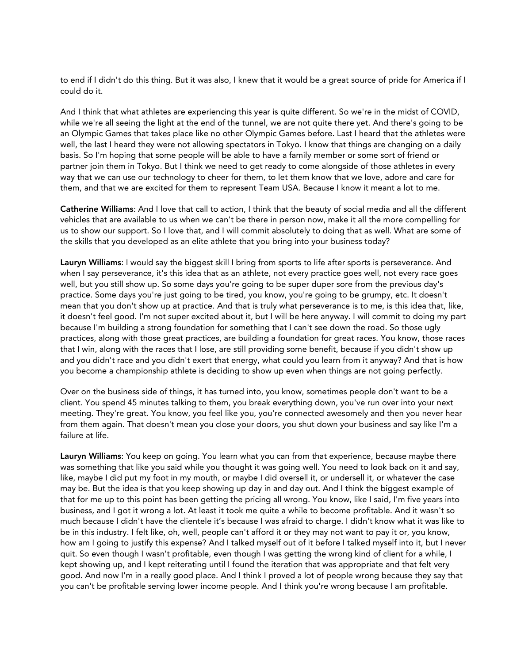to end if I didn't do this thing. But it was also, I knew that it would be a great source of pride for America if I could do it.

And I think that what athletes are experiencing this year is quite different. So we're in the midst of COVID, while we're all seeing the light at the end of the tunnel, we are not quite there yet. And there's going to be an Olympic Games that takes place like no other Olympic Games before. Last I heard that the athletes were well, the last I heard they were not allowing spectators in Tokyo. I know that things are changing on a daily basis. So I'm hoping that some people will be able to have a family member or some sort of friend or partner join them in Tokyo. But I think we need to get ready to come alongside of those athletes in every way that we can use our technology to cheer for them, to let them know that we love, adore and care for them, and that we are excited for them to represent Team USA. Because I know it meant a lot to me.

Catherine Williams: And I love that call to action, I think that the beauty of social media and all the different vehicles that are available to us when we can't be there in person now, make it all the more compelling for us to show our support. So I love that, and I will commit absolutely to doing that as well. What are some of the skills that you developed as an elite athlete that you bring into your business today?

Lauryn Williams: I would say the biggest skill I bring from sports to life after sports is perseverance. And when I say perseverance, it's this idea that as an athlete, not every practice goes well, not every race goes well, but you still show up. So some days you're going to be super duper sore from the previous day's practice. Some days you're just going to be tired, you know, you're going to be grumpy, etc. It doesn't mean that you don't show up at practice. And that is truly what perseverance is to me, is this idea that, like, it doesn't feel good. I'm not super excited about it, but I will be here anyway. I will commit to doing my part because I'm building a strong foundation for something that I can't see down the road. So those ugly practices, along with those great practices, are building a foundation for great races. You know, those races that I win, along with the races that I lose, are still providing some benefit, because if you didn't show up and you didn't race and you didn't exert that energy, what could you learn from it anyway? And that is how you become a championship athlete is deciding to show up even when things are not going perfectly.

Over on the business side of things, it has turned into, you know, sometimes people don't want to be a client. You spend 45 minutes talking to them, you break everything down, you've run over into your next meeting. They're great. You know, you feel like you, you're connected awesomely and then you never hear from them again. That doesn't mean you close your doors, you shut down your business and say like I'm a failure at life.

Lauryn Williams: You keep on going. You learn what you can from that experience, because maybe there was something that like you said while you thought it was going well. You need to look back on it and say, like, maybe I did put my foot in my mouth, or maybe I did oversell it, or undersell it, or whatever the case may be. But the idea is that you keep showing up day in and day out. And I think the biggest example of that for me up to this point has been getting the pricing all wrong. You know, like I said, I'm five years into business, and I got it wrong a lot. At least it took me quite a while to become profitable. And it wasn't so much because I didn't have the clientele it's because I was afraid to charge. I didn't know what it was like to be in this industry. I felt like, oh, well, people can't afford it or they may not want to pay it or, you know, how am I going to justify this expense? And I talked myself out of it before I talked myself into it, but I never quit. So even though I wasn't profitable, even though I was getting the wrong kind of client for a while, I kept showing up, and I kept reiterating until I found the iteration that was appropriate and that felt very good. And now I'm in a really good place. And I think I proved a lot of people wrong because they say that you can't be profitable serving lower income people. And I think you're wrong because I am profitable.